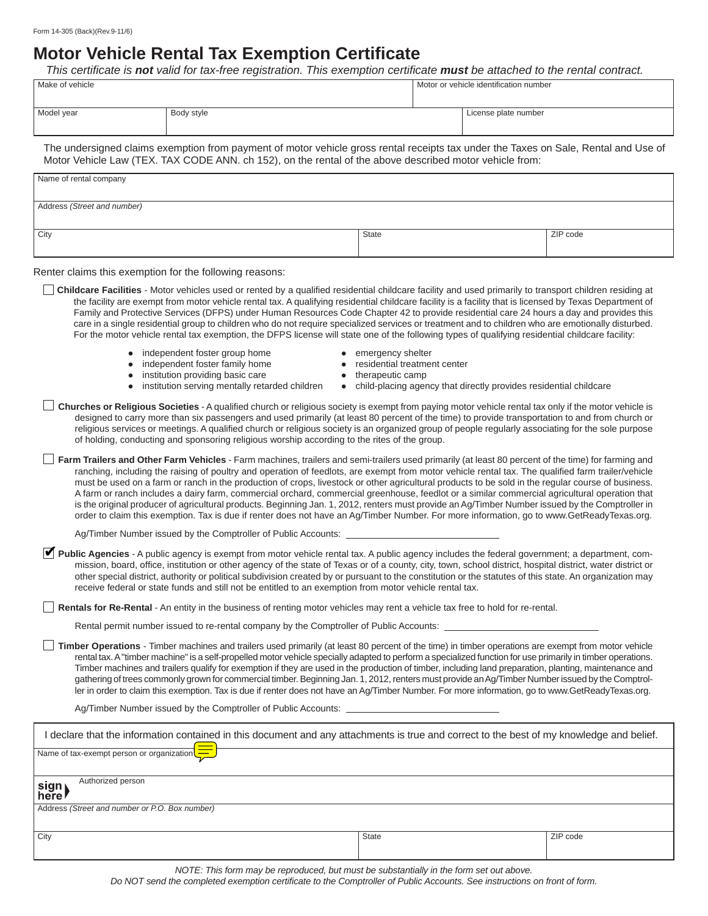## **Motor Vehicle Rental Tax Exemption Certificate**

*This certifi cate is not valid for tax-free registration. This exemption certificate must be attached to the rental contract.* 

| Make of vehicle                                                                                                                     |            | Motor or vehicle identification number |                      |  |  |
|-------------------------------------------------------------------------------------------------------------------------------------|------------|----------------------------------------|----------------------|--|--|
| Model year                                                                                                                          | Body style |                                        | License plate number |  |  |
| The undersigned claims exemption from payment of motor vehicle gross rental receipts tax under the Taxes on Sale, Rental and Use of |            |                                        |                      |  |  |

Motor Vehicle Law (TEX. TAX CODE ANN. ch 152), on the rental of the above described motor vehicle from:

| Name of rental company      |          |
|-----------------------------|----------|
| Address (Street and number) |          |
|                             |          |
| City<br>State               | ZIP code |

Renter claims this exemption for the following reasons:

**Childcare Facilities** - Motor vehicles used or rented by a qualified residential childcare facility and used primarily to transport children residing at the facility are exempt from motor vehicle rental tax. A qualifying residential childcare facility is a facility that is licensed by Texas Department of Family and Protective Services (DFPS) under Human Resources Code Chapter 42 to provide residential care 24 hours a day and provides this care in a single residential group to children who do not require specialized services or treatment and to children who are emotionally disturbed. For the motor vehicle rental tax exemption, the DFPS license will state one of the following types of qualifying residential childcare facility:

- independent foster group home **very emergency shelter**
- independent foster family home **z residential treatment center**
- institution providing basic care **z intervalled the therapeutic camp**
- 
- -
	-
- institution serving mentally retarded children child-placing agency that directly provides residential childcare

**Churches or Religious Societies** - A qualified church or religious society is exempt from paying motor vehicle rental tax only if the motor vehicle is designed to carry more than six passengers and used primarily (at least 80 percent of the time) to provide transportation to and from church or religious services or meetings. A qualified church or religious society is an organized group of people regularly associating for the sole purpose of holding, conducting and sponsoring religious worship according to the rites of the group.

**Farm Trailers and Other Farm Vehicles** - Farm machines, trailers and semi-trailers used primarily (at least 80 percent of the time) for farming and ranching, including the raising of poultry and operation of feedlots, are exempt from motor vehicle rental tax. The qualified farm trailer/vehicle must be used on a farm or ranch in the production of crops, livestock or other agricultural products to be sold in the regular course of business. A farm or ranch includes a dairy farm, commercial orchard, commercial greenhouse, feedlot or a similar commercial agricultural operation that is the original producer of agricultural products. Beginning Jan. 1, 2012, renters must provide an Ag/Timber Number issued by the Comptroller in order to claim this exemption. Tax is due if renter does not have an Ag/Timber Number. For more information, go to www.GetReadyTexas.org.

Ag/Timber Number issued by the Comptroller of Public Accounts:

**Public Agencies** - A public agency is exempt from motor vehicle rental tax. A public agency includes the federal government; a department, com-✔mission, board, office, institution or other agency of the state of Texas or of a county, city, town, school district, hospital district, water district or other special district, authority or political subdivision created by or pursuant to the constitution or the statutes of this state. An organization may receive federal or state funds and still not be entitled to an exemption from motor vehicle rental tax.

**Rentals for Re-Rental** - An entity in the business of renting motor vehicles may rent a vehicle tax free to hold for re-rental.

Rental permit number issued to re-rental company by the Comptroller of Public Accounts:

**Timber Operations** - Timber machines and trailers used primarily (at least 80 percent of the time) in timber operations are exempt from motor vehicle rental tax. A "timber machine" is a self-propelled motor vehicle specially adapted to perform a specialized function for use primarily in timber operations. Timber machines and trailers qualify for exemption if they are used in the production of timber, including land preparation, planting, maintenance and gathering of trees commonly grown for commercial timber. Beginning Jan. 1, 2012, renters must provide an Ag/Timber Number issued by the Comptroller in order to claim this exemption. Tax is due if renter does not have an Ag/Timber Number. For more information, go to www.GetReadyTexas.org.

Ag/Timber Number issued by the Comptroller of Public Accounts:

| I declare that the information contained in this document and any attachments is true and correct to the best of my knowledge and belief. |       |          |  |  |  |
|-------------------------------------------------------------------------------------------------------------------------------------------|-------|----------|--|--|--|
| Name of tax-exempt person or organization $\sqrt{\frac{1}{n}}$                                                                            |       |          |  |  |  |
| Authorized person<br>sign<br>here                                                                                                         |       |          |  |  |  |
| Address (Street and number or P.O. Box number)                                                                                            |       |          |  |  |  |
| City                                                                                                                                      | State | ZIP code |  |  |  |

*NOTE: This form may be reproduced, but must be substantially in the form set out above.*

*Do NOT send the completed exemption certificate to the Comptroller of Public Accounts. See instructions on front of form.*